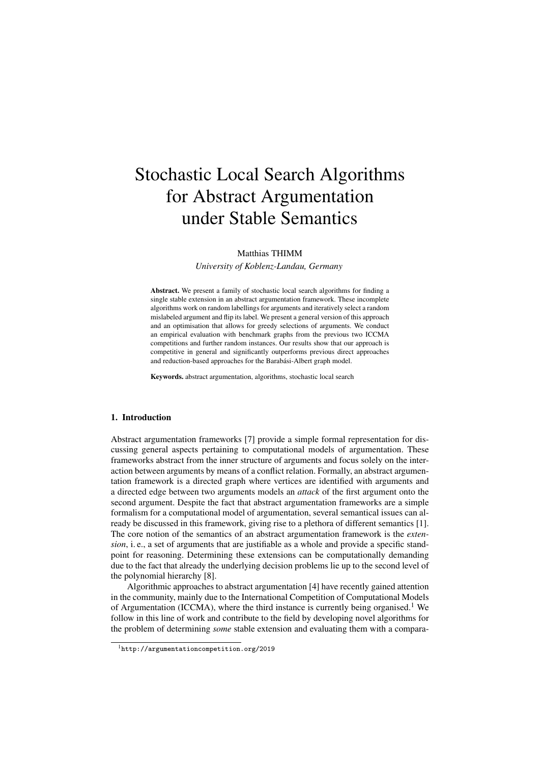# Matthias THIMM

*University of Koblenz-Landau, Germany*

Abstract. We present a family of stochastic local search algorithms for finding a single stable extension in an abstract argumentation framework. These incomplete algorithms work on random labellings for arguments and iteratively select a random mislabeled argument and flip its label. We present a general version of this approach and an optimisation that allows for greedy selections of arguments. We conduct an empirical evaluation with benchmark graphs from the previous two ICCMA competitions and further random instances. Our results show that our approach is competitive in general and significantly outperforms previous direct approaches and reduction-based approaches for the Barabási-Albert graph model.

Keywords. abstract argumentation, algorithms, stochastic local search

## 1. Introduction

Abstract argumentation frameworks [7] provide a simple formal representation for discussing general aspects pertaining to computational models of argumentation. These frameworks abstract from the inner structure of arguments and focus solely on the interaction between arguments by means of a conflict relation. Formally, an abstract argumentation framework is a directed graph where vertices are identified with arguments and a directed edge between two arguments models an *attack* of the first argument onto the second argument. Despite the fact that abstract argumentation frameworks are a simple formalism for a computational model of argumentation, several semantical issues can already be discussed in this framework, giving rise to a plethora of different semantics [1]. The core notion of the semantics of an abstract argumentation framework is the *extension*, i. e., a set of arguments that are justifiable as a whole and provide a specific standpoint for reasoning. Determining these extensions can be computationally demanding due to the fact that already the underlying decision problems lie up to the second level of the polynomial hierarchy [8].

Algorithmic approaches to abstract argumentation [4] have recently gained attention in the community, mainly due to the International Competition of Computational Models of Argumentation (ICCMA), where the third instance is currently being organised.<sup>1</sup> We follow in this line of work and contribute to the field by developing novel algorithms for the problem of determining *some* stable extension and evaluating them with a compara-

<sup>1</sup>http://argumentationcompetition.org/2019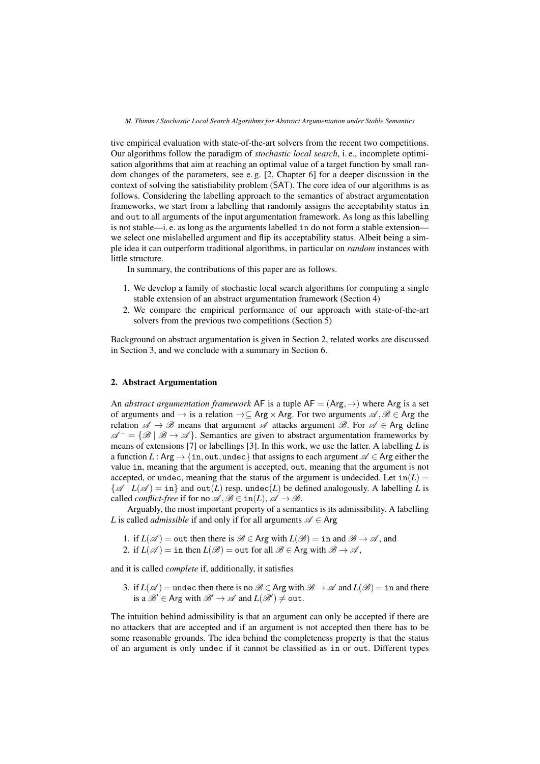tive empirical evaluation with state-of-the-art solvers from the recent two competitions. Our algorithms follow the paradigm of *stochastic local search*, i. e., incomplete optimisation algorithms that aim at reaching an optimal value of a target function by small random changes of the parameters, see e. g. [2, Chapter 6] for a deeper discussion in the context of solving the satisfiability problem (SAT). The core idea of our algorithms is as follows. Considering the labelling approach to the semantics of abstract argumentation frameworks, we start from a labelling that randomly assigns the acceptability status in and out to all arguments of the input argumentation framework. As long as this labelling is not stable—i. e. as long as the arguments labelled in do not form a stable extension we select one mislabelled argument and flip its acceptability status. Albeit being a simple idea it can outperform traditional algorithms, in particular on *random* instances with little structure.

In summary, the contributions of this paper are as follows.

- 1. We develop a family of stochastic local search algorithms for computing a single stable extension of an abstract argumentation framework (Section 4)
- 2. We compare the empirical performance of our approach with state-of-the-art solvers from the previous two competitions (Section 5)

Background on abstract argumentation is given in Section 2, related works are discussed in Section 3, and we conclude with a summary in Section 6.

# 2. Abstract Argumentation

An *abstract argumentation framework* AF is a tuple  $AF = (Arg, \rightarrow)$  where Arg is a set of arguments and  $\rightarrow$  is a relation  $\rightarrow \subseteq$  Arg  $\times$  Arg. For two arguments  $\mathscr{A}, \mathscr{B} \in$  Arg the relation  $\mathscr{A} \to \mathscr{B}$  means that argument  $\mathscr{A}$  attacks argument  $\mathscr{B}$ . For  $\mathscr{A} \in \mathsf{Arg}$  define  $\mathscr{A}^- = \{ \mathscr{B} \mid \mathscr{B} \to \mathscr{A} \}.$  Semantics are given to abstract argumentation frameworks by means of extensions [7] or labellings [3]. In this work, we use the latter. A labelling *L* is a function *L* : Arg  $\rightarrow$  {in, out, undec} that assigns to each argument  $\mathscr{A} \in$  Arg either the value in, meaning that the argument is accepted, out, meaning that the argument is not accepted, or undec, meaning that the status of the argument is undecided. Let  $in(L)$  $\{\mathscr{A} | L(\mathscr{A}) = \text{in}\}\$ and out $(L)$  resp. undec $(L)$  be defined analogously. A labelling L is called *conflict-free* if for no  $\mathscr{A}, \mathscr{B} \in \text{in}(L), \mathscr{A} \to \mathscr{B}$ .

Arguably, the most important property of a semantics is its admissibility. A labelling *L* is called *admissible* if and only if for all arguments  $\mathscr{A} \in \mathsf{Arg}$ 

- 1. if  $L(\mathscr{A}) = \text{out}$  then there is  $\mathscr{B} \in \text{Arg with } L(\mathscr{B}) = \text{in}$  and  $\mathscr{B} \to \mathscr{A}$ , and
- 2. if  $L(\mathscr{A}) = \text{in then } L(\mathscr{B}) = \text{out for all } \mathscr{B} \in \text{Arg with } \mathscr{B} \to \mathscr{A}$ ,

and it is called *complete* if, additionally, it satisfies

3. if  $L(\mathscr{A})$  = undec then there is no  $\mathscr{B} \in \mathsf{Arg}$  with  $\mathscr{B} \to \mathscr{A}$  and  $L(\mathscr{B}) = \text{in}$  and there is a  $\mathscr{B}^{\prime} \in \mathsf{Arg}$  with  $\mathscr{B}^{\prime} \to \mathscr{A}$  and  $L(\mathscr{B}^{\prime}) \neq \mathtt{out}.$ 

The intuition behind admissibility is that an argument can only be accepted if there are no attackers that are accepted and if an argument is not accepted then there has to be some reasonable grounds. The idea behind the completeness property is that the status of an argument is only undec if it cannot be classified as in or out. Different types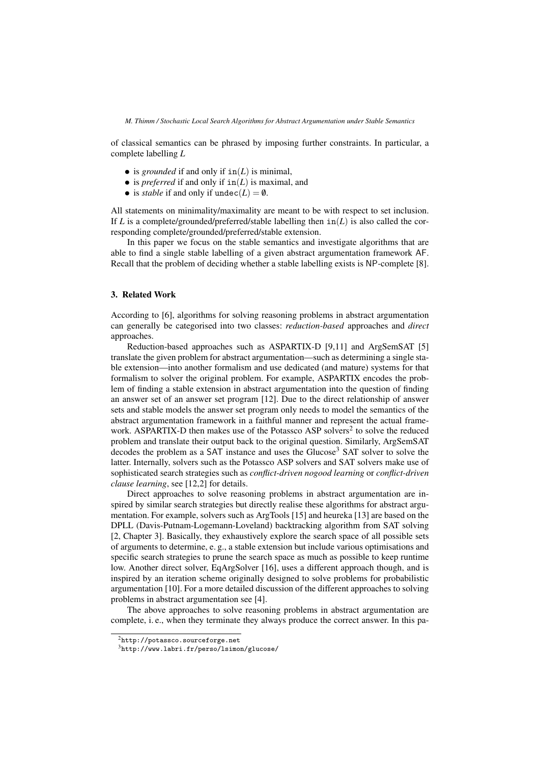of classical semantics can be phrased by imposing further constraints. In particular, a complete labelling *L*

- is *grounded* if and only if  $in(L)$  is minimal,
- is *preferred* if and only if  $in(L)$  is maximal, and
- is *stable* if and only if  $undec(L) = \emptyset$ .

All statements on minimality/maximality are meant to be with respect to set inclusion. If *L* is a complete/grounded/preferred/stable labelling then  $in(L)$  is also called the corresponding complete/grounded/preferred/stable extension.

In this paper we focus on the stable semantics and investigate algorithms that are able to find a single stable labelling of a given abstract argumentation framework AF. Recall that the problem of deciding whether a stable labelling exists is NP-complete [8].

# 3. Related Work

According to [6], algorithms for solving reasoning problems in abstract argumentation can generally be categorised into two classes: *reduction-based* approaches and *direct* approaches.

Reduction-based approaches such as ASPARTIX-D [9,11] and ArgSemSAT [5] translate the given problem for abstract argumentation—such as determining a single stable extension—into another formalism and use dedicated (and mature) systems for that formalism to solver the original problem. For example, ASPARTIX encodes the problem of finding a stable extension in abstract argumentation into the question of finding an answer set of an answer set program [12]. Due to the direct relationship of answer sets and stable models the answer set program only needs to model the semantics of the abstract argumentation framework in a faithful manner and represent the actual framework. ASPARTIX-D then makes use of the Potassco ASP solvers<sup>2</sup> to solve the reduced problem and translate their output back to the original question. Similarly, ArgSemSAT decodes the problem as a SAT instance and uses the Glucose<sup>3</sup> SAT solver to solve the latter. Internally, solvers such as the Potassco ASP solvers and SAT solvers make use of sophisticated search strategies such as *conflict-driven nogood learning* or *conflict-driven clause learning*, see [12,2] for details.

Direct approaches to solve reasoning problems in abstract argumentation are inspired by similar search strategies but directly realise these algorithms for abstract argumentation. For example, solvers such as ArgTools [15] and heureka [13] are based on the DPLL (Davis-Putnam-Logemann-Loveland) backtracking algorithm from SAT solving [2, Chapter 3]. Basically, they exhaustively explore the search space of all possible sets of arguments to determine, e. g., a stable extension but include various optimisations and specific search strategies to prune the search space as much as possible to keep runtime low. Another direct solver, EqArgSolver [16], uses a different approach though, and is inspired by an iteration scheme originally designed to solve problems for probabilistic argumentation [10]. For a more detailed discussion of the different approaches to solving problems in abstract argumentation see [4].

The above approaches to solve reasoning problems in abstract argumentation are complete, i. e., when they terminate they always produce the correct answer. In this pa-

 $^{2}$ http://potassco.sourceforge.net

<sup>3</sup>http://www.labri.fr/perso/lsimon/glucose/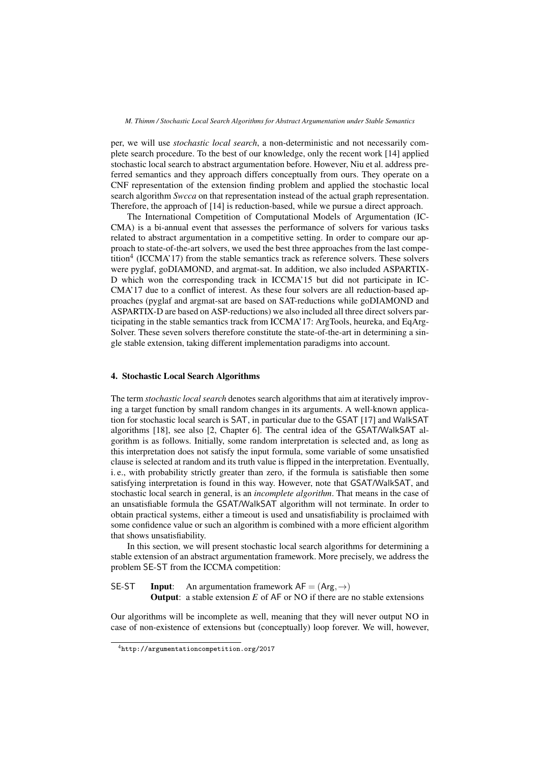per, we will use *stochastic local search*, a non-deterministic and not necessarily complete search procedure. To the best of our knowledge, only the recent work [14] applied stochastic local search to abstract argumentation before. However, Niu et al. address preferred semantics and they approach differs conceptually from ours. They operate on a CNF representation of the extension finding problem and applied the stochastic local search algorithm *Swcca* on that representation instead of the actual graph representation. Therefore, the approach of [14] is reduction-based, while we pursue a direct approach.

The International Competition of Computational Models of Argumentation (IC-CMA) is a bi-annual event that assesses the performance of solvers for various tasks related to abstract argumentation in a competitive setting. In order to compare our approach to state-of-the-art solvers, we used the best three approaches from the last competition<sup>4</sup> (ICCMA'17) from the stable semantics track as reference solvers. These solvers were pyglaf, goDIAMOND, and argmat-sat. In addition, we also included ASPARTIX-D which won the corresponding track in ICCMA'15 but did not participate in IC-CMA'17 due to a conflict of interest. As these four solvers are all reduction-based approaches (pyglaf and argmat-sat are based on SAT-reductions while goDIAMOND and ASPARTIX-D are based on ASP-reductions) we also included all three direct solvers participating in the stable semantics track from ICCMA'17: ArgTools, heureka, and EqArg-Solver. These seven solvers therefore constitute the state-of-the-art in determining a single stable extension, taking different implementation paradigms into account.

## 4. Stochastic Local Search Algorithms

The term *stochastic local search* denotes search algorithms that aim at iteratively improving a target function by small random changes in its arguments. A well-known application for stochastic local search is SAT, in particular due to the GSAT [17] and WalkSAT algorithms [18], see also [2, Chapter 6]. The central idea of the GSAT/WalkSAT algorithm is as follows. Initially, some random interpretation is selected and, as long as this interpretation does not satisfy the input formula, some variable of some unsatisfied clause is selected at random and its truth value is flipped in the interpretation. Eventually, i. e., with probability strictly greater than zero, if the formula is satisfiable then some satisfying interpretation is found in this way. However, note that GSAT/WalkSAT, and stochastic local search in general, is an *incomplete algorithm*. That means in the case of an unsatisfiable formula the GSAT/WalkSAT algorithm will not terminate. In order to obtain practical systems, either a timeout is used and unsatisfiability is proclaimed with some confidence value or such an algorithm is combined with a more efficient algorithm that shows unsatisfiability.

In this section, we will present stochastic local search algorithms for determining a stable extension of an abstract argumentation framework. More precisely, we address the problem SE-ST from the ICCMA competition:

SE-ST Input: An argumentation framework  $AF = (Arg, \rightarrow)$ Output: a stable extension *E* of AF or NO if there are no stable extensions

Our algorithms will be incomplete as well, meaning that they will never output NO in case of non-existence of extensions but (conceptually) loop forever. We will, however,

<sup>4</sup>http://argumentationcompetition.org/2017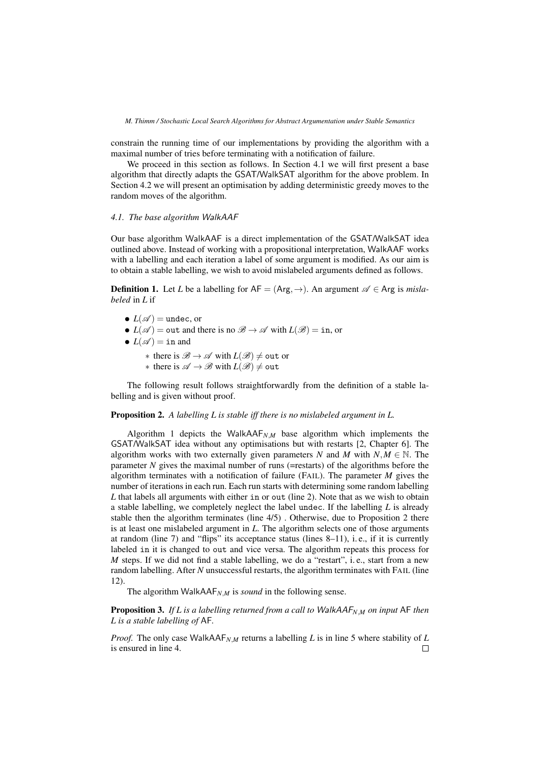constrain the running time of our implementations by providing the algorithm with a maximal number of tries before terminating with a notification of failure.

We proceed in this section as follows. In Section 4.1 we will first present a base algorithm that directly adapts the GSAT/WalkSAT algorithm for the above problem. In Section 4.2 we will present an optimisation by adding deterministic greedy moves to the random moves of the algorithm.

#### *4.1. The base algorithm* WalkAAF

Our base algorithm WalkAAF is a direct implementation of the GSAT/WalkSAT idea outlined above. Instead of working with a propositional interpretation, WalkAAF works with a labelling and each iteration a label of some argument is modified. As our aim is to obtain a stable labelling, we wish to avoid mislabeled arguments defined as follows.

**Definition 1.** Let *L* be a labelling for  $AF = (Arg, \rightarrow)$ . An argument  $\mathscr{A} \in \text{Arg}$  is *mislabeled* in *L* if

- $L(\mathscr{A}) =$ undec, or
- $L(\mathscr{A}) = \text{out}$  and there is no  $\mathscr{B} \to \mathscr{A}$  with  $L(\mathscr{B}) = \text{in}$ , or
- $L(\mathscr{A}) = \text{in and}$ 
	- $∗$  there is  $\mathscr{B} \to \mathscr{A}$  with  $L(\mathscr{B}) \neq$  out or
	- $∗$  there is  $\mathscr{A} \to \mathscr{B}$  with  $L(\mathscr{B}) \neq 0$ ut

The following result follows straightforwardly from the definition of a stable labelling and is given without proof.

Proposition 2. *A labelling L is stable iff there is no mislabeled argument in L.*

Algorithm 1 depicts the WalkAAF*N*,*<sup>M</sup>* base algorithm which implements the GSAT/WalkSAT idea without any optimisations but with restarts [2, Chapter 6]. The algorithm works with two externally given parameters *N* and *M* with  $N, M \in \mathbb{N}$ . The parameter *N* gives the maximal number of runs (=restarts) of the algorithms before the algorithm terminates with a notification of failure (FAIL). The parameter *M* gives the number of iterations in each run. Each run starts with determining some random labelling *L* that labels all arguments with either in or out (line 2). Note that as we wish to obtain a stable labelling, we completely neglect the label undec. If the labelling *L* is already stable then the algorithm terminates (line 4/5) . Otherwise, due to Proposition 2 there is at least one mislabeled argument in *L*. The algorithm selects one of those arguments at random (line 7) and "flips" its acceptance status (lines  $8-11$ ), i.e., if it is currently labeled in it is changed to out and vice versa. The algorithm repeats this process for *M* steps. If we did not find a stable labelling, we do a "restart", i.e., start from a new random labelling. After *N* unsuccessful restarts, the algorithm terminates with FAIL (line 12).

The algorithm WalkAAF $_{N,M}$  is *sound* in the following sense.

Proposition 3. *If L is a labelling returned from a call to* WalkAAF*N*,*<sup>M</sup> on input* AF *then L is a stable labelling of* AF*.*

*Proof.* The only case WalkAAF*N*,*<sup>M</sup>* returns a labelling *L* is in line 5 where stability of *L* is ensured in line 4. $\Box$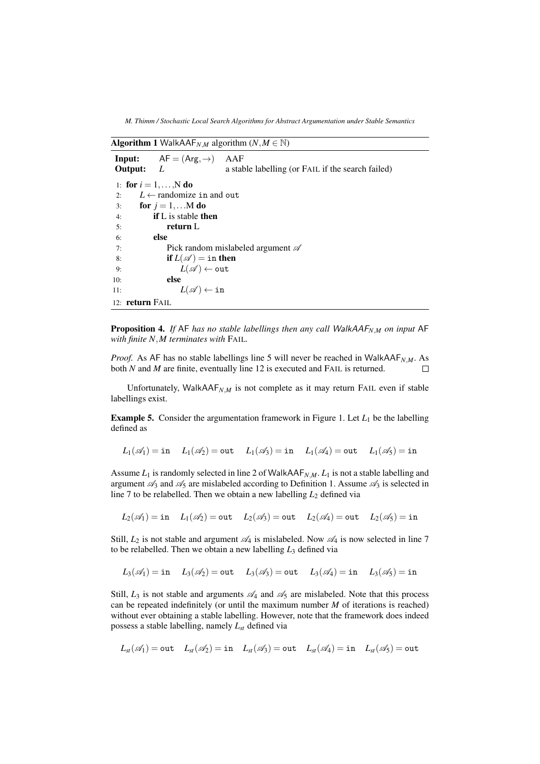*M. Thimm / Stochastic Local Search Algorithms for Abstract Argumentation under Stable Semantics*

**Algorithm 1** WalkAAF<sub>*N*</sub>*M* algorithm (*N,M*  $\in$  N)

|     |                 | <b>Input:</b> $AF = (Arg, \rightarrow)$  | AAF                                               |
|-----|-----------------|------------------------------------------|---------------------------------------------------|
|     | Output: $L$     |                                          | a stable labelling (or FAIL if the search failed) |
|     |                 | 1: for $i = 1, , N$ do                   |                                                   |
| 2:  |                 | $L \leftarrow$ randomize in and out      |                                                   |
| 3:  |                 | for $j = 1, \ldots M$ do                 |                                                   |
| 4:  |                 | <b>if</b> L is stable <b>then</b>        |                                                   |
| 5:  |                 | return L                                 |                                                   |
| 6:  |                 | else                                     |                                                   |
| 7:  |                 |                                          | Pick random mislabeled argument $\mathscr A$      |
| 8:  |                 | if $L(\mathscr{A}) = \text{in}$ then     |                                                   |
| 9:  |                 | $L(\mathscr{A}) \leftarrow \texttt{out}$ |                                                   |
| 10: |                 | else                                     |                                                   |
| 11: |                 | $L(\mathscr{A}) \leftarrow \texttt{in}$  |                                                   |
|     | 12: return FAIL |                                          |                                                   |

Proposition 4. *If* AF *has no stable labellings then any call* WalkAAF*N*,*<sup>M</sup> on input* AF *with finite N*,*M terminates with* FAIL*.*

*Proof.* As AF has no stable labellings line 5 will never be reached in WalkAAF<sub>*NM*</sub>. As both *N* and *M* are finite, eventually line 12 is executed and FAIL is returned.  $\Box$ 

Unfortunately, WalkAA $F_{N,M}$  is not complete as it may return FAIL even if stable labellings exist.

**Example 5.** Consider the argumentation framework in Figure 1. Let  $L_1$  be the labelling defined as

$$
L_1(\mathscr A_1)=\text{in}\quad \ L_1(\mathscr A_2)=\text{out}\quad \ L_1(\mathscr A_3)=\text{in}\quad \ L_1(\mathscr A_4)=\text{out}\quad \ L_1(\mathscr A_5)=\text{in}
$$

Assume  $L_1$  is randomly selected in line 2 of WalkAAF<sub>*N*,*M*</sub>.  $L_1$  is not a stable labelling and argument  $\mathcal{A}_3$  and  $\mathcal{A}_5$  are mislabeled according to Definition 1. Assume  $\mathcal{A}_3$  is selected in line 7 to be relabelled. Then we obtain a new labelling  $L_2$  defined via

$$
L_2(\mathscr A_1)=\text{in}\quad L_1(\mathscr A_2)=\text{out}\quad L_2(\mathscr A_3)=\text{out}\quad L_2(\mathscr A_4)=\text{out}\quad L_2(\mathscr A_5)=\text{in}
$$

Still,  $L_2$  is not stable and argument  $\mathcal{A}_4$  is mislabeled. Now  $\mathcal{A}_4$  is now selected in line 7 to be relabelled. Then we obtain a new labelling *L*<sup>3</sup> defined via

$$
L_3(\mathscr A_1)=\text{in}\quad \ L_3(\mathscr A_2)=\text{out}\quad \ L_3(\mathscr A_3)=\text{out}\quad \ L_3(\mathscr A_4)=\text{in}\quad \ L_3(\mathscr A_5)=\text{in}
$$

Still,  $L_3$  is not stable and arguments  $\mathcal{A}_4$  and  $\mathcal{A}_5$  are mislabeled. Note that this process can be repeated indefinitely (or until the maximum number *M* of iterations is reached) without ever obtaining a stable labelling. However, note that the framework does indeed possess a stable labelling, namely *Lst* defined via

$$
L_{\rm st}(\mathscr{A}_1) = {\tt out} \quad L_{\rm st}(\mathscr{A}_2) = {\tt in} \quad L_{\rm st}(\mathscr{A}_3) = {\tt out} \quad L_{\rm st}(\mathscr{A}_4) = {\tt in} \quad L_{\rm st}(\mathscr{A}_5) = {\tt out}
$$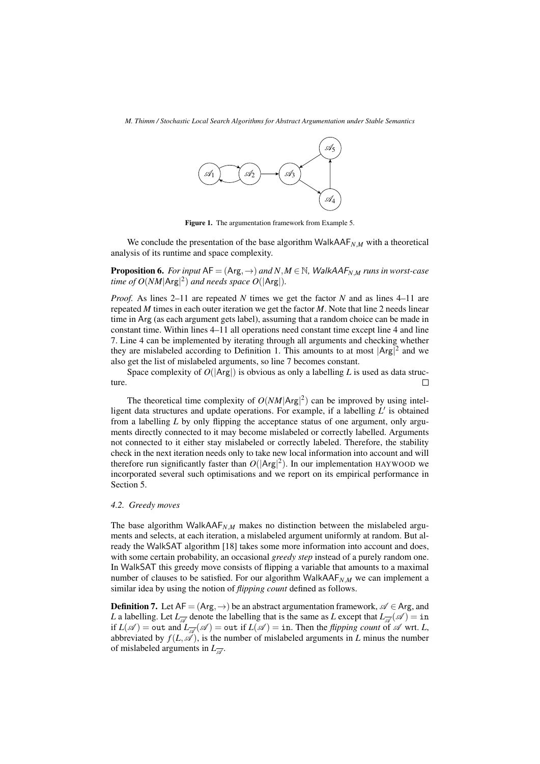

Figure 1. The argumentation framework from Example 5.

We conclude the presentation of the base algorithm WalkAA $F_{N,M}$  with a theoretical analysis of its runtime and space complexity.

**Proposition 6.** For input  $AF = (Arg, \rightarrow)$  and  $N, M \in \mathbb{N}$ , WalkAAF<sub>N,M</sub> runs in worst-case *time of*  $O(NM |Arg|^2)$  *and needs space*  $O(|Arg|)$ *.* 

*Proof.* As lines 2–11 are repeated *N* times we get the factor *N* and as lines 4–11 are repeated *M* times in each outer iteration we get the factor *M*. Note that line 2 needs linear time in Arg (as each argument gets label), assuming that a random choice can be made in constant time. Within lines 4–11 all operations need constant time except line 4 and line 7. Line 4 can be implemented by iterating through all arguments and checking whether they are mislabeled according to Definition 1. This amounts to at most  $|Arg|^2$  and we also get the list of mislabeled arguments, so line 7 becomes constant.

Space complexity of  $O(|Arg|)$  is obvious as only a labelling *L* is used as data structure.  $\Box$ 

The theoretical time complexity of  $O(NM |Arg|^2)$  can be improved by using intelligent data structures and update operations. For example, if a labelling  $L'$  is obtained from a labelling *L* by only flipping the acceptance status of one argument, only arguments directly connected to it may become mislabeled or correctly labelled. Arguments not connected to it either stay mislabeled or correctly labeled. Therefore, the stability check in the next iteration needs only to take new local information into account and will therefore run significantly faster than  $O(|Arg|^2)$ . In our implementation HAYWOOD we incorporated several such optimisations and we report on its empirical performance in Section 5.

#### *4.2. Greedy moves*

The base algorithm WalkAA $F_{N,M}$  makes no distinction between the mislabeled arguments and selects, at each iteration, a mislabeled argument uniformly at random. But already the WalkSAT algorithm [18] takes some more information into account and does, with some certain probability, an occasional *greedy step* instead of a purely random one. In WalkSAT this greedy move consists of flipping a variable that amounts to a maximal number of clauses to be satisfied. For our algorithm WalkAAF<sub>*N*,*M*</sub> we can implement a similar idea by using the notion of *flipping count* defined as follows.

**Definition 7.** Let  $AF = (Arg, \rightarrow)$  be an abstract argumentation framework,  $\mathscr{A} \in \text{Arg}$ , and *L* a labelling. Let  $L_{\overline{A}}$  denote the labelling that is the same as *L* except that  $L_{\overline{A}}(\mathscr{A}) = \text{in}$ if  $L(\mathscr{A}) = \text{out}$  and  $L_{\overline{\mathscr{A}}}(\mathscr{A}) = \text{out}$  if  $L(\mathscr{A}) = \text{in}$ . Then the *flipping count* of  $\mathscr{A}$  wrt. *L*, abbreviated by  $f(L,\mathscr{A})$ , is the number of mislabeled arguments in *L* minus the number of mislabeled arguments in  $L_{\overline{\mathscr{A}}}$ .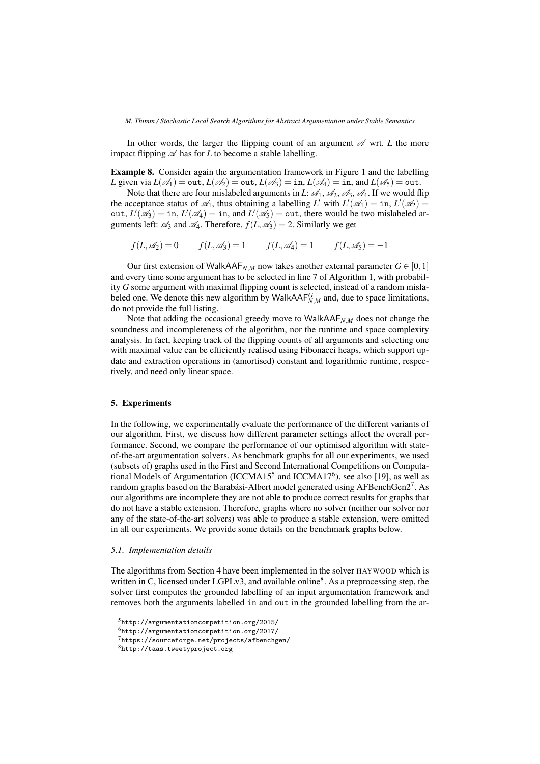In other words, the larger the flipping count of an argument  $\mathscr A$  wrt. *L* the more impact flipping  $\mathscr A$  has for *L* to become a stable labelling.

Example 8. Consider again the argumentation framework in Figure 1 and the labelling *L* given via  $L(\mathscr{A}_1) = \text{out}$ ,  $L(\mathscr{A}_2) = \text{out}$ ,  $L(\mathscr{A}_3) = \text{in}$ ,  $L(\mathscr{A}_4) = \text{in}$ , and  $L(\mathscr{A}_5) = \text{out}$ .

Note that there are four mislabeled arguments in *L*:  $\mathcal{A}_1$ ,  $\mathcal{A}_2$ ,  $\mathcal{A}_3$ ,  $\mathcal{A}_4$ . If we would flip the acceptance status of  $\mathcal{A}_1$ , thus obtaining a labelling *L'* with  $L'(\mathcal{A}_1) = \text{in}$ ,  $L'(\mathcal{A}_2) =$ out,  $L'(\mathscr{A}_3) = \text{in}, L'(\mathscr{A}_4) = \text{in}, \text{ and } L'(\mathscr{A}_5) = \text{out}, \text{ there would be two mislabeled ar$ guments left:  $\mathcal{A}_3$  and  $\mathcal{A}_4$ . Therefore,  $f(L,\mathcal{A}_3) = 2$ . Similarly we get

 $f(L, \mathscr{A}_2) = 0$   $f(L, \mathscr{A}_3) = 1$   $f(L, \mathscr{A}_4) = 1$   $f(L, \mathscr{A}_5) = -1$ 

Our first extension of WalkAAF<sub>*N*,*M*</sub> now takes another external parameter  $G \in [0,1]$ and every time some argument has to be selected in line 7 of Algorithm 1, with probability *G* some argument with maximal flipping count is selected, instead of a random mislabeled one. We denote this new algorithm by WalkAA $F_{N,M}^G$  and, due to space limitations, do not provide the full listing.

Note that adding the occasional greedy move to WalkAAF*N*,*<sup>M</sup>* does not change the soundness and incompleteness of the algorithm, nor the runtime and space complexity analysis. In fact, keeping track of the flipping counts of all arguments and selecting one with maximal value can be efficiently realised using Fibonacci heaps, which support update and extraction operations in (amortised) constant and logarithmic runtime, respectively, and need only linear space.

#### 5. Experiments

In the following, we experimentally evaluate the performance of the different variants of our algorithm. First, we discuss how different parameter settings affect the overall performance. Second, we compare the performance of our optimised algorithm with stateof-the-art argumentation solvers. As benchmark graphs for all our experiments, we used (subsets of) graphs used in the First and Second International Competitions on Computational Models of Argumentation (ICCMA15<sup>5</sup> and ICCMA17<sup>6</sup>), see also [19], as well as random graphs based on the Barabási-Albert model generated using AFBenchGen2<sup>7</sup>. As our algorithms are incomplete they are not able to produce correct results for graphs that do not have a stable extension. Therefore, graphs where no solver (neither our solver nor any of the state-of-the-art solvers) was able to produce a stable extension, were omitted in all our experiments. We provide some details on the benchmark graphs below.

# *5.1. Implementation details*

The algorithms from Section 4 have been implemented in the solver HAYWOOD which is written in C, licensed under LGPLv3, and available online<sup>8</sup>. As a preprocessing step, the solver first computes the grounded labelling of an input argumentation framework and removes both the arguments labelled in and out in the grounded labelling from the ar-

<sup>5</sup>http://argumentationcompetition.org/2015/

<sup>6</sup>http://argumentationcompetition.org/2017/

<sup>7</sup>https://sourceforge.net/projects/afbenchgen/

<sup>8</sup>http://taas.tweetyproject.org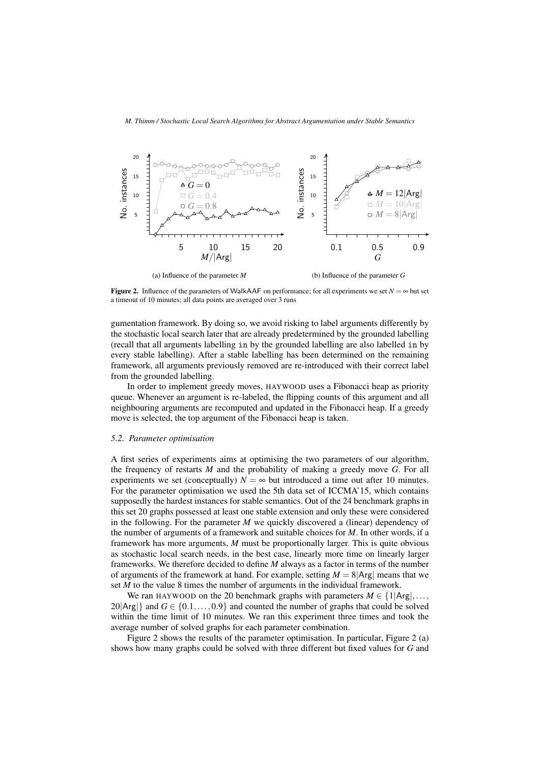

Figure 2. Influence of the parameters of WalkAAF on performance; for all experiments we set  $N = \infty$  but set a timeout of 10 minutes; all data points are averaged over 3 runs

gumentation framework. By doing so, we avoid risking to label arguments differently by the stochastic local search later that are already predetermined by the grounded labelling (recall that all arguments labelling in by the grounded labelling are also labelled in by every stable labelling). After a stable labelling has been determined on the remaining framework, all arguments previously removed are re-introduced with their correct label from the grounded labelling.

In order to implement greedy moves, HAYWOOD uses a Fibonacci heap as priority queue. Whenever an argument is re-labeled, the flipping counts of this argument and all neighbouring arguments are recomputed and updated in the Fibonacci heap. If a greedy move is selected, the top argument of the Fibonacci heap is taken.

# *5.2. Parameter optimisation*

A first series of experiments aims at optimising the two parameters of our algorithm, the frequency of restarts *M* and the probability of making a greedy move *G*. For all experiments we set (conceptually)  $N = \infty$  but introduced a time out after 10 minutes. For the parameter optimisation we used the 5th data set of ICCMA'15, which contains supposedly the hardest instances for stable semantics. Out of the 24 benchmark graphs in this set 20 graphs possessed at least one stable extension and only these were considered in the following. For the parameter *M* we quickly discovered a (linear) dependency of the number of arguments of a framework and suitable choices for *M*. In other words, if a framework has more arguments, *M* must be proportionally larger. This is quite obvious as stochastic local search needs, in the best case, linearly more time on linearly larger frameworks. We therefore decided to define *M* always as a factor in terms of the number of arguments of the framework at hand. For example, setting  $M = 8 |Arg|$  means that we set *M* to the value 8 times the number of arguments in the individual framework.

We ran HAYWOOD on the 20 benchmark graphs with parameters  $M \in \{1 | Arg|, \ldots,$  $20|Arg$ } and  $G \in \{0.1,\ldots,0.9\}$  and counted the number of graphs that could be solved within the time limit of 10 minutes. We ran this experiment three times and took the average number of solved graphs for each parameter combination.

Figure 2 shows the results of the parameter optimisation. In particular, Figure 2 (a) shows how many graphs could be solved with three different but fixed values for *G* and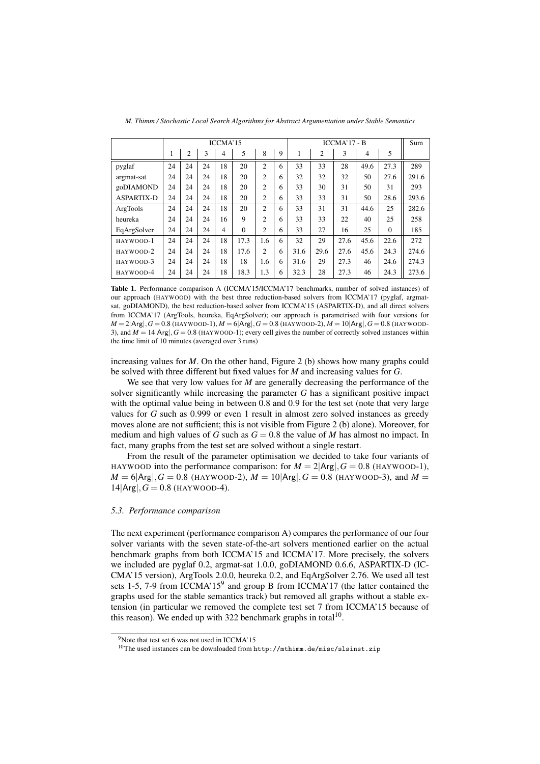|                   | ICCMA'15 |                |    |    |          |                |   | $ICCMA'17 - B$ |                |      |      |          | Sum   |
|-------------------|----------|----------------|----|----|----------|----------------|---|----------------|----------------|------|------|----------|-------|
|                   | 1        | $\overline{2}$ | 3  | 4  | 5        | 8              | 9 |                | $\overline{c}$ | 3    | 4    | 5        |       |
| pyglaf            | 24       | 24             | 24 | 18 | 20       | $\overline{c}$ | 6 | 33             | 33             | 28   | 49.6 | 27.3     | 289   |
| argmat-sat        | 24       | 24             | 24 | 18 | 20       | 2              | 6 | 32             | 32             | 32   | 50   | 27.6     | 291.6 |
| goDIAMOND         | 24       | 24             | 24 | 18 | 20       | $\overline{c}$ | 6 | 33             | 30             | 31   | 50   | 31       | 293   |
| <b>ASPARTIX-D</b> | 24       | 24             | 24 | 18 | 20       | 2              | 6 | 33             | 33             | 31   | 50   | 28.6     | 293.6 |
| ArgTools          | 24       | 24             | 24 | 18 | 20       | $\overline{c}$ | 6 | 33             | 31             | 31   | 44.6 | 25       | 282.6 |
| heureka           | 24       | 24             | 24 | 16 | 9        | $\overline{c}$ | 6 | 33             | 33             | 22   | 40   | 25       | 258   |
| EqArgSolver       | 24       | 24             | 24 | 4  | $\theta$ | 2              | 6 | 33             | 27             | 16   | 25   | $\Omega$ | 185   |
| HAYWOOD-1         | 24       | 24             | 24 | 18 | 17.3     | 1.6            | 6 | 32             | 29             | 27.6 | 45.6 | 22.6     | 272   |
| HAYWOOD-2         | 24       | 24             | 24 | 18 | 17.6     | 2              | 6 | 31.6           | 29.6           | 27.6 | 45.6 | 24.3     | 274.6 |
| HAYWOOD-3         | 24       | 24             | 24 | 18 | 18       | 1.6            | 6 | 31.6           | 29             | 27.3 | 46   | 24.6     | 274.3 |
| HAYWOOD-4         | 24       | 24             | 24 | 18 | 18.3     | 1.3            | 6 | 32.3           | 28             | 27.3 | 46   | 24.3     | 273.6 |

*M. Thimm / Stochastic Local Search Algorithms for Abstract Argumentation under Stable Semantics*

Table 1. Performance comparison A (ICCMA'15/ICCMA'17 benchmarks, number of solved instances) of our approach (HAYWOOD) with the best three reduction-based solvers from ICCMA'17 (pyglaf, argmatsat, goDIAMOND), the best reduction-based solver from ICCMA'15 (ASPARTIX-D), and all direct solvers from ICCMA'17 (ArgTools, heureka, EqArgSolver); our approach is parametrised with four versions for  $M = 2|\text{Arg}|$ ,  $G = 0.8$  (HAYWOOD-1),  $M = 6|\text{Arg}|$ ,  $G = 0.8$  (HAYWOOD-2),  $M = 10|\text{Arg}|$ ,  $G = 0.8$  (HAYWOOD-3), and  $M = 14 |Arg|$ ,  $G = 0.8$  (HAYWOOD-1); every cell gives the number of correctly solved instances within the time limit of 10 minutes (averaged over 3 runs)

increasing values for  $M$ . On the other hand, Figure 2 (b) shows how many graphs could be solved with three different but fixed values for *M* and increasing values for *G*.

We see that very low values for *M* are generally decreasing the performance of the solver significantly while increasing the parameter *G* has a significant positive impact with the optimal value being in between 0.8 and 0.9 for the test set (note that very large values for *G* such as 0.999 or even 1 result in almost zero solved instances as greedy moves alone are not sufficient; this is not visible from Figure 2 (b) alone). Moreover, for medium and high values of *G* such as  $G = 0.8$  the value of *M* has almost no impact. In fact, many graphs from the test set are solved without a single restart.

From the result of the parameter optimisation we decided to take four variants of HAYWOOD into the performance comparison: for  $M = 2 |Arg|$ ,  $G = 0.8$  (HAYWOOD-1),  $M = 6|Arg|$ ,  $G = 0.8$  (HAYWOOD-2),  $M = 10|Arg|$ ,  $G = 0.8$  (HAYWOOD-3), and  $M =$  $14|Arg|$ ,  $G = 0.8$  (HAYWOOD-4).

# *5.3. Performance comparison*

The next experiment (performance comparison A) compares the performance of our four solver variants with the seven state-of-the-art solvers mentioned earlier on the actual benchmark graphs from both ICCMA'15 and ICCMA'17. More precisely, the solvers we included are pyglaf 0.2, argmat-sat 1.0.0, goDIAMOND 0.6.6, ASPARTIX-D (IC-CMA'15 version), ArgTools 2.0.0, heureka 0.2, and EqArgSolver 2.76. We used all test sets 1-5, 7-9 from ICCMA'15<sup>9</sup> and group B from ICCMA'17 (the latter contained the graphs used for the stable semantics track) but removed all graphs without a stable extension (in particular we removed the complete test set 7 from ICCMA'15 because of this reason). We ended up with 322 benchmark graphs in total<sup>10</sup>.

<sup>&</sup>lt;sup>9</sup>Note that test set 6 was not used in ICCMA'15

 $^{10}$ The used instances can be downloaded from  $http://mthim.de/misc/slsinst.zip$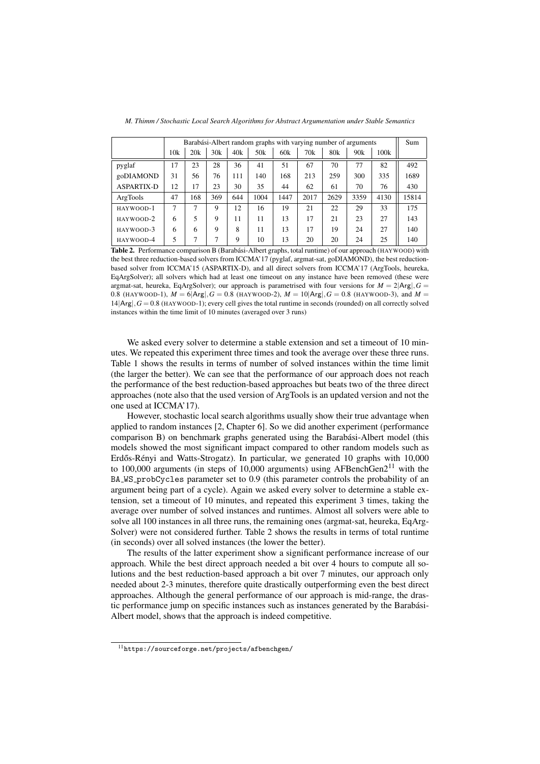|                   | Barabási-Albert random graphs with varying number of arguments |     |             |     |      |      |      |      |      |      | Sum   |
|-------------------|----------------------------------------------------------------|-----|-------------|-----|------|------|------|------|------|------|-------|
|                   | 10k                                                            | 20k | 30k         | 40k | 50k  | 60k  | 70k  | 80k  | 90k  | 100k |       |
| pyglaf            | 17                                                             | 23  | 28          | 36  | 41   | 51   | 67   | 70   | 77   | 82   | 492   |
| goDIAMOND         | 31                                                             | 56  | 76          | 111 | 140  | 168  | 213  | 259  | 300  | 335  | 1689  |
| <b>ASPARTIX-D</b> | 12                                                             | 17  | 23          | 30  | 35   | 44   | 62   | 61   | 70   | 76   | 430   |
| ArgTools          | 47                                                             | 168 | 369         | 644 | 1004 | 1447 | 2017 | 2629 | 3359 | 4130 | 15814 |
| HAYWOOD-1         | 7                                                              | 7   | $\mathbf Q$ | 12  | 16   | 19   | 21   | 22   | 29   | 33   | 175   |
| HAYWOOD-2         | 6                                                              | 5   | $\mathbf Q$ | 11  | 11   | 13   | 17   | 21   | 23   | 27   | 143   |
| HAYWOOD-3         | 6                                                              | 6   | $\mathbf Q$ | 8   | 11   | 13   | 17   | 19   | 24   | 27   | 140   |
| HAYWOOD-4         |                                                                |     |             | 9   | 10   | 13   | 20   | 20   | 24   | 25   | 140   |

*M. Thimm / Stochastic Local Search Algorithms for Abstract Argumentation under Stable Semantics*

Table 2. Performance comparison B (Barabási-Albert graphs, total runtime) of our approach (HAYWOOD) with the best three reduction-based solvers from ICCMA'17 (pyglaf, argmat-sat, goDIAMOND), the best reductionbased solver from ICCMA'15 (ASPARTIX-D), and all direct solvers from ICCMA'17 (ArgTools, heureka, EqArgSolver); all solvers which had at least one timeout on any instance have been removed (these were argmat-sat, heureka, EqArgSolver); our approach is parametrised with four versions for  $M = 2|\text{Arg}|$ ,  $G =$ 0.8 (HAYWOOD-1),  $M = 6 |Arg|$ ,  $G = 0.8$  (HAYWOOD-2),  $M = 10 |Arg|$ ,  $G = 0.8$  (HAYWOOD-3), and  $M =$  $14|Arg|$ ,  $G = 0.8$  (HAYWOOD-1); every cell gives the total runtime in seconds (rounded) on all correctly solved instances within the time limit of 10 minutes (averaged over 3 runs)

We asked every solver to determine a stable extension and set a timeout of 10 minutes. We repeated this experiment three times and took the average over these three runs. Table 1 shows the results in terms of number of solved instances within the time limit (the larger the better). We can see that the performance of our approach does not reach the performance of the best reduction-based approaches but beats two of the three direct approaches (note also that the used version of ArgTools is an updated version and not the one used at ICCMA'17).

However, stochastic local search algorithms usually show their true advantage when applied to random instances [2, Chapter 6]. So we did another experiment (performance comparison B) on benchmark graphs generated using the Barabási-Albert model (this models showed the most significant impact compared to other random models such as Erdős-Rényi and Watts-Strogatz). In particular, we generated  $10$  graphs with  $10,000$ to 100,000 arguments (in steps of 10,000 arguments) using AFBenchGen $2^{11}$  with the BA WS probCycles parameter set to 0.9 (this parameter controls the probability of an argument being part of a cycle). Again we asked every solver to determine a stable extension, set a timeout of 10 minutes, and repeated this experiment 3 times, taking the average over number of solved instances and runtimes. Almost all solvers were able to solve all 100 instances in all three runs, the remaining ones (argmat-sat, heureka, EqArg-Solver) were not considered further. Table 2 shows the results in terms of total runtime (in seconds) over all solved instances (the lower the better).

The results of the latter experiment show a significant performance increase of our approach. While the best direct approach needed a bit over 4 hours to compute all solutions and the best reduction-based approach a bit over 7 minutes, our approach only needed about 2-3 minutes, therefore quite drastically outperforming even the best direct approaches. Although the general performance of our approach is mid-range, the drastic performance jump on specific instances such as instances generated by the Barabasi- ´ Albert model, shows that the approach is indeed competitive.

 $^{11}\mathrm{https://sourceforge.net/projects/afbenchgen/}$